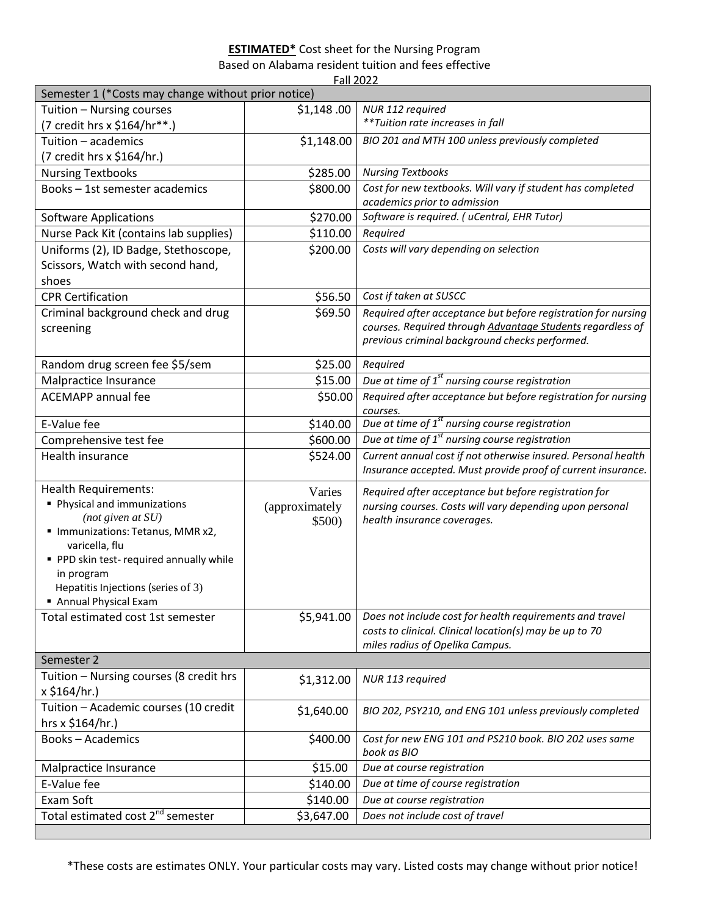## **ESTIMATED\*** Cost sheet for the Nursing Program

Based on Alabama resident tuition and fees effective

Fall 2022

| Semester 1 (*Costs may change without prior notice)       |                |                                                                                                                               |  |
|-----------------------------------------------------------|----------------|-------------------------------------------------------------------------------------------------------------------------------|--|
| Tuition - Nursing courses                                 | \$1,148.00     | NUR 112 required                                                                                                              |  |
| (7 credit hrs x \$164/hr**.)                              |                | **Tuition rate increases in fall                                                                                              |  |
| Tuition - academics                                       | \$1,148.00     | BIO 201 and MTH 100 unless previously completed                                                                               |  |
| (7 credit hrs x \$164/hr.)                                |                |                                                                                                                               |  |
| <b>Nursing Textbooks</b>                                  | \$285.00       | <b>Nursing Textbooks</b>                                                                                                      |  |
| Books - 1st semester academics                            | \$800.00       | Cost for new textbooks. Will vary if student has completed                                                                    |  |
|                                                           |                | academics prior to admission                                                                                                  |  |
| <b>Software Applications</b>                              | \$270.00       | Software is required. (uCentral, EHR Tutor)                                                                                   |  |
| Nurse Pack Kit (contains lab supplies)                    | \$110.00       | Required                                                                                                                      |  |
| Uniforms (2), ID Badge, Stethoscope,                      | \$200.00       | Costs will vary depending on selection                                                                                        |  |
| Scissors, Watch with second hand,                         |                |                                                                                                                               |  |
| shoes                                                     |                |                                                                                                                               |  |
| <b>CPR Certification</b>                                  | \$56.50        | Cost if taken at SUSCC                                                                                                        |  |
| Criminal background check and drug                        | \$69.50        | Required after acceptance but before registration for nursing                                                                 |  |
| screening                                                 |                | courses. Required through Advantage Students regardless of                                                                    |  |
|                                                           |                | previous criminal background checks performed.                                                                                |  |
| Random drug screen fee \$5/sem                            | \$25.00        | Required                                                                                                                      |  |
| Malpractice Insurance                                     | \$15.00        | Due at time of $1st$ nursing course registration                                                                              |  |
| <b>ACEMAPP</b> annual fee                                 | \$50.00        | Required after acceptance but before registration for nursing                                                                 |  |
|                                                           |                | courses.<br>Due at time of $1st$ nursing course registration                                                                  |  |
| E-Value fee                                               | \$140.00       | Due at time of $1st$ nursing course registration                                                                              |  |
| Comprehensive test fee                                    | \$600.00       |                                                                                                                               |  |
| Health insurance                                          | \$524.00       | Current annual cost if not otherwise insured. Personal health<br>Insurance accepted. Must provide proof of current insurance. |  |
|                                                           |                |                                                                                                                               |  |
| <b>Health Requirements:</b>                               | Varies         | Required after acceptance but before registration for                                                                         |  |
| Physical and immunizations                                | (approximately | nursing courses. Costs will vary depending upon personal                                                                      |  |
| (not given at $SU$ )<br>" Immunizations: Tetanus, MMR x2, | \$500)         | health insurance coverages.                                                                                                   |  |
| varicella, flu                                            |                |                                                                                                                               |  |
| PPD skin test-required annually while                     |                |                                                                                                                               |  |
| in program                                                |                |                                                                                                                               |  |
| Hepatitis Injections (series of 3)                        |                |                                                                                                                               |  |
| Annual Physical Exam                                      |                |                                                                                                                               |  |
| Total estimated cost 1st semester                         | \$5,941.00     | Does not include cost for health requirements and travel                                                                      |  |
|                                                           |                | costs to clinical. Clinical location(s) may be up to 70                                                                       |  |
|                                                           |                | miles radius of Opelika Campus.                                                                                               |  |
| Semester 2                                                |                |                                                                                                                               |  |
| Tuition - Nursing courses (8 credit hrs                   | \$1,312.00     | NUR 113 required                                                                                                              |  |
| x \$164/hr.)                                              |                |                                                                                                                               |  |
| Tuition - Academic courses (10 credit                     | \$1,640.00     | BIO 202, PSY210, and ENG 101 unless previously completed                                                                      |  |
| hrs x \$164/hr.)                                          |                |                                                                                                                               |  |
| <b>Books-Academics</b>                                    | \$400.00       | Cost for new ENG 101 and PS210 book. BIO 202 uses same<br>book as BIO                                                         |  |
| Malpractice Insurance                                     | \$15.00        | Due at course registration                                                                                                    |  |
| E-Value fee                                               | \$140.00       | Due at time of course registration                                                                                            |  |
| Exam Soft                                                 | \$140.00       | Due at course registration                                                                                                    |  |
| Total estimated cost 2 <sup>nd</sup> semester             | \$3,647.00     | Does not include cost of travel                                                                                               |  |
|                                                           |                |                                                                                                                               |  |

\*These costs are estimates ONLY. Your particular costs may vary. Listed costs may change without prior notice!